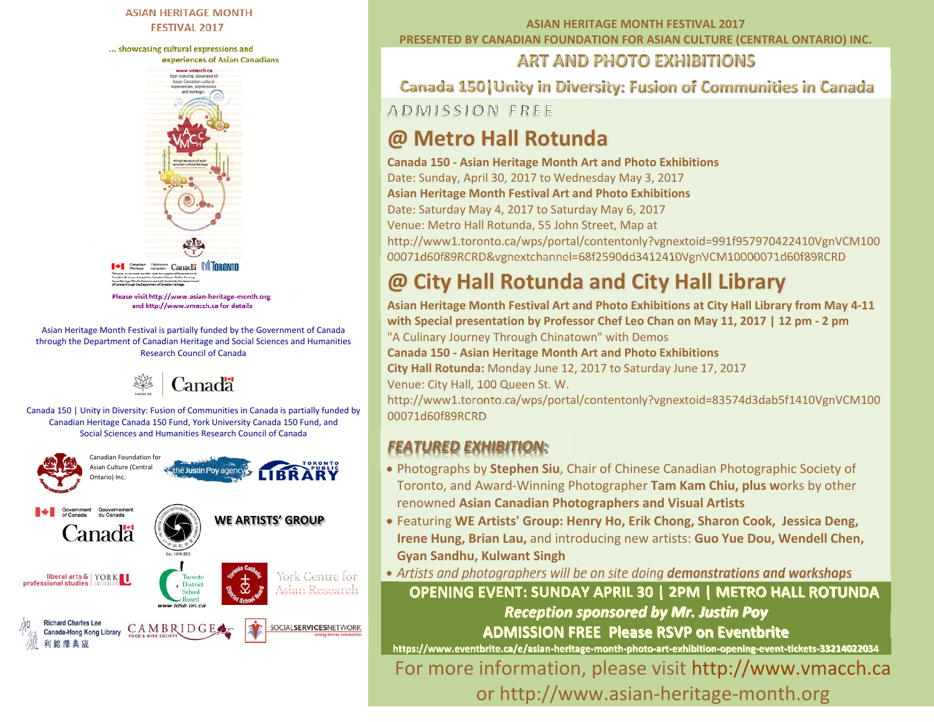#### **ASIAN HERITAGE MONTH FESTIVAL 2017**

... showcasing cultural expressions and



Please visit http://www.asian-heritage-month.org and http://www.vmacch.ca for details

Asian Heritage Month Festival is partially funded by the Government of Canada through the Department of Canadian Heritage and Social Sciences and Humanities Research Council of Canada



Canada 150 | Unity in Diversity: Fusion of Communities in Canada is partially funded by Canadian Heritage Canada 150 Fund, York University Canada 150 Fund, and Social Sciences and Humanities Research Council of Canada



#### **ASIAN HERITAGE MONTH FESTIVAL 2017 PRESENTED BY CANADIAN FOUNDATION FOR ASIAN CULTURE (CENTRAL ONTARIO) INC.**

### **ART AND PHOTO EXHIBITIONS**

**Canada 150 | Unity in Diversity: Fusion of Communities in Canada ADMISSION FREE** 

### **@ Metro Hall Rotunda**

#### **Canada 150 ‐ Asian Heritage Month Art and Photo Exhibitions**

Date: Sunday, April 30, 2017 to Wednesday May 3, 2017

**Asian Heritage Month Festival Art and Photo Exhibitions** 

Date: Saturday May 4, 2017 to Saturday May 6, 2017

Venue: Metro Hall Rotunda, 55 John Street, Map at

http://www1.toronto.ca/wps/portal/contentonly?vgnextoid=991f957970422410VgnVCM100 00071d60f89RCRD&vgnextchannel=68f2590dd3412410VgnVCM10000071d60f89RCRD

### **@ City Hall Rotunda and City Hall Library**

**Asian Heritage Month Festival Art and Photo Exhibitions at City Hall Library from May 4‐11 with Special presentation by Professor Chef Leo Chan on May 11, 2017 | 12 pm ‐ 2 pm**  "A Culinary Journey Through Chinatown" with Demos **Canada 150 ‐ Asian Heritage Month Art and Photo Exhibitions City Hall Rotunda:** Monday June 12, 2017 to Saturday June 17, 2017 Venue: City Hall, 100 Queen St. W. http://www1.toronto.ca/wps/portal/contentonly?vgnextoid=83574d3dab5f1410VgnVCM100 00071d60f89RCRD

#### *FEATURED EXHIBITION:*

- Photographs by **Stephen Siu**, Chair of Chinese Canadian Photographic Society of Toronto, and Award‐Winning Photographer **Tam Kam Chiu, plus w**orks by other renowned **Asian Canadian Photographers and Visual Artists**
- Featuring **WE Artists' Group: Henry Ho, Erik Chong, Sharon Cook, Jessica Deng, Irene Hung, Brian Lau,** and introducing new artists: **Guo Yue Dou, Wendell Chen, Gyan Sandhu, Kulwant Singh**

*Artists and photographers will be on site doing demonstrations and workshops*

**OPENING EVENT: SUNDAY APRIL 30 | 2PM | METRO HALL ROTUNDA**  *Reception sponsored by Mr. Justin Poy*  **ADMISSION FREE Please RSVP on Eventbrite** 

**https://www.eventbrite.ca/e/asian‐heritage‐month‐photo‐art‐exhibition‐opening‐event‐tickets‐33214022034** For more information, please visit http://www.vmacch.ca or http://www.asian‐heritage‐month.org